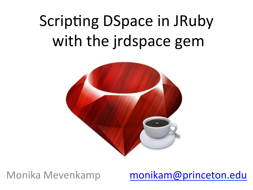# **Scripting DSpace in JRuby** with the jrdspace gem



Monika Mevenkamp

monikam@princeton.edu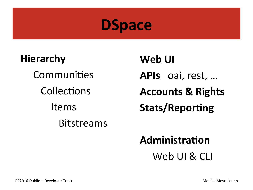

**Hierarchy** Communities Collections Items **Bitstreams** 

Web UI APIs oai, rest, ... **Accounts & Rights Stats/Reporting** 

### Administration

Web UI & CLI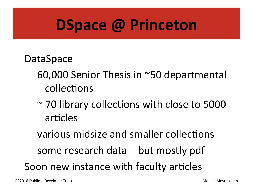# **DSpace @ Princeton**

#### DataSpace

- 60,000 Senior Thesis in ~50 departmental collections
- $\sim$  70 library collections with close to 5000 articles

various midsize and smaller collections

some research data - but mostly pdf

Soon new instance with faculty articles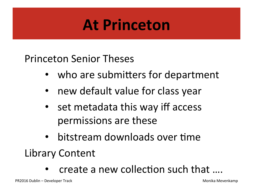# **At Princeton**

Princeton Senior Theses 

- who are submitters for department
- new default value for class year
- set metadata this way iff access permissions are these
- bitstream downloads over time

Library Content 

create a new collection such that ....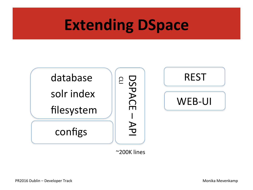

~200K lines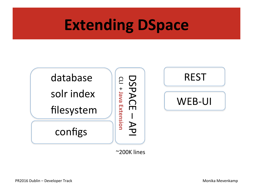

~200K lines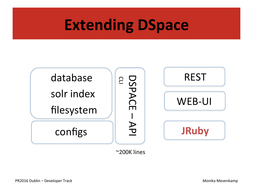

~200K lines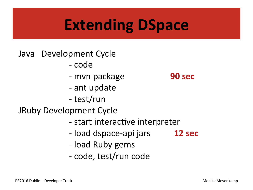#### Java Development Cycle

- code
- mvn package
- ant update
- test/run

**JRuby Development Cycle** 

- start interactive interpreter
- load dspace-api jars 12 sec
- load Ruby gems
- code, test/run code

#### 90 sec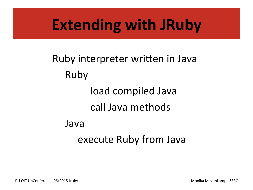# **Extending with JRuby**

Ruby interpreter written in Java Ruby load compiled Java call Java methods Java execute Ruby from Java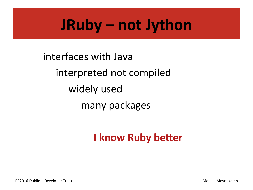# JRuby - not Jython

interfaces with Java interpreted not compiled widely used many packages

### **I know Ruby better**

Monika Mevenkamp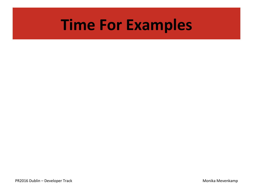## **Time For Examples**

PR2016 Dublin – Developer Track and the contract of the contract of the contract of the Monika Mevenkamp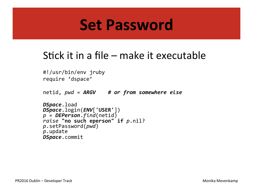### **Set Password**

### Stick it in a file  $-$  make it executable

```
#!/usr/bin/env jruby
	 	require 'dspace'
netid, pwd = ARGV # or from somewhere else
DSpace.load
DSpace.login(ENV['USER'])	
p	=	DEPerson.find(netid)	
raise "no such eperson" if p.nil?
p.setPassword(pwd)	
p.update
DSpace.commit
```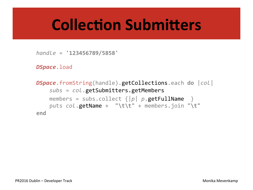# **Collection Submitters**

*handle* = **'123456789/5858'** 

```
DSpace.load
```

```
DSpace.fromString(handle).getCollections.each do	|col|		
    				subs	=	col.getSubmitters.getMembers
    members = subs.collect \{|p| p.getFullName \}puts col.getName + "\t\t" + members.join "\t"
end
```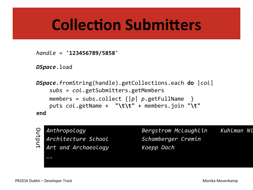# **Collection Submitters**

*handle* = **'123456789/5858'** 

*DSpace*.load

```
DSpace.fromString(handle).getCollections.each do	|col|		
    				subs	=	col.getSubmitters.getMembers
    members = subs.collect \{|p| p.getFullName
    puts col.getName + "\t\t" + members.join "\t"
end
```
Output 

Anthropology *Bergstrom McLaughlin Kuhlman Ni*colas *Architecture School Schamberger Cremin Art and Archaeology Koepp Dach ….*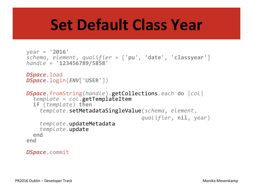# **Set Default Class Year**

```
year	=	'2016'	
schema,	element,	qualifier	=	['pu',	'date',	'classyear']	
handle	=	'123456789/5858'	
DSpace.load
DSpace.login(ENV['USER'])	
DSpace.fromString(handle).getCollections.each do |col|<br>template = col.getTemplateItem<br>if (template) then<br>template.setMetadataSingleValue(schema, element,
oualifier, nil, year)<br>
template.updateMetadata<br>
end
end
```
#### *DSpace*.commit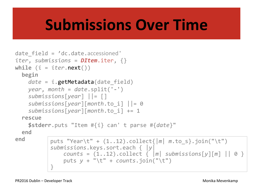# **Submissions Over Time**

```
date field = 'dc.date.accessioned'
iter, submissions = DItem.iter, {}
while (i = iter.next())		begin	
    date = i.getMetadata(date_field)
    				year,	month	=	date.split('-')	
    				submissions[year]	||=	[]	
    				submissions[year][month.to_i]	||=	0	
    				submissions[year][month.to_i]	+=	1	
  		rescue	
    				$stderr.puts "Item #{i} can'	t	parse	#{date}"	
  		end	
end \vert puts "Year\t" + (1..12).collect{\vert m \vert m.to_s}.join("\t")
            submissions.keys.sort.each	{	|y|	
                counts = (1..12) .collect \{ |m| submissions[y][m] | | 0 \}				puts	y	+	"\t"	+	counts.join("\t")	
            }
```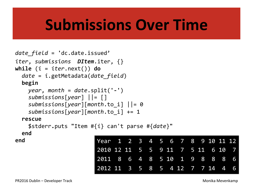# **Submissions Over Time**

```
date_field =	'dc.date.issued'	
iter, submissions DItem.iter, {}
while (i = iter.next()) do
  		date	=	i.getMetadata(date_field)	
  		begin	
    				year,	month	=	date.split('-')	
    				submissions[year]	||=	[]	
    				submissions[year][month.to_i]	||=	0	
    				submissions[year][month.to_i]	+=	1	
  		rescue
```

```
				$stderr.puts "Item #{i} can't	parse #{date}"	
		end
```

| end | Year <sup>1</sup> 2 3 4 5 6 7 8 9 10 11 12 |  |  |  |  |  |  |
|-----|--------------------------------------------|--|--|--|--|--|--|
|     | 2010 12 11 5 5 9 11 7 5 11 6 10 7          |  |  |  |  |  |  |
|     | 2011 8 6 4 8 5 10 1 9 8 8 8 6              |  |  |  |  |  |  |
|     | 2012 11 3 5 8 5 4 12 7 7 14 4 6            |  |  |  |  |  |  |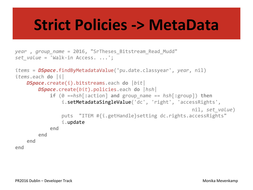### **Strict Policies -> MetaData**

```
year	,	group_name =	2016,	"SrTheses_Bitstream_Read_Mudd"	
set value = 'Walk-in Access. ...';
items = DSpace.findByMetadataValue('pu.date.classyear', year, nil)
items.each do	|i|	
     			 DSpace.create(i).bitstreams.each do	|bit|	
          								DSpace.create(bit).policies.each do	|hsh|				
               if (0 \equiv -hsh[:action] and group name == hsh[:group]) then
                    i.setMetadataSingleValue('dc', 'right', 'accessRights',
                                                                              																																																													nil,	set_value)	
                    																puts		"ITEM #{i.getHandle}setting dc.rights.accessRights"	
                    i.update
               												end	
          				end		
end
```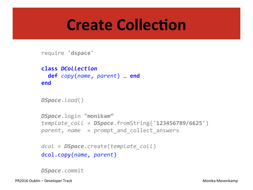### **Create Collection**

require **'dspace'** 

```
class	DCollection
  		def copy(name,	parent)	…	end
end
```

```
DSpace.load()
```

```
DSpace.login "monikam"	
template_coll =	DSpace.fromString('123456789/6625')	
parent, name = prompt and collect answers
```

```
dcol =	DSpace.create(template_coll)	
dcol.copy(name,	parent)
```
*DSpace*.commit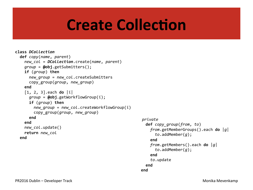## **Create Collection**

```
class	DCollection
  		def copy(name,	parent)	
    				new_col =	DCollection.create(name,	parent)	
    				group	=	@obj.getSubmitters();	
    if (group) then
       						new_group =	new_col.createSubmitters
       copy group(group, new group)
    				end	
    				[1,	2,	3].each	do	|i|	
       						group	=	@obj.getWorkflowGroup(i);	
       if (group) then
         new group = new col.createWorkflowGroup(i)
         copy group(group, new group)
       						end	
    				end	
    newcol.update()
    				return	new_col
  		end	
                                                                  private	
                                                                    		def copy_group(from,	to)	
                                                                      				from.getMemberGroups().each	do	|g|	
                                                                         						to.addMember(g);	
                                                                       				end	
                                                                      				from.getMembers().each	do	|g|	
                                                                         						to.addMember(g);	
                                                                       				end	
                                                                      				to.update
                                                                    		end	
                                                                  end
```